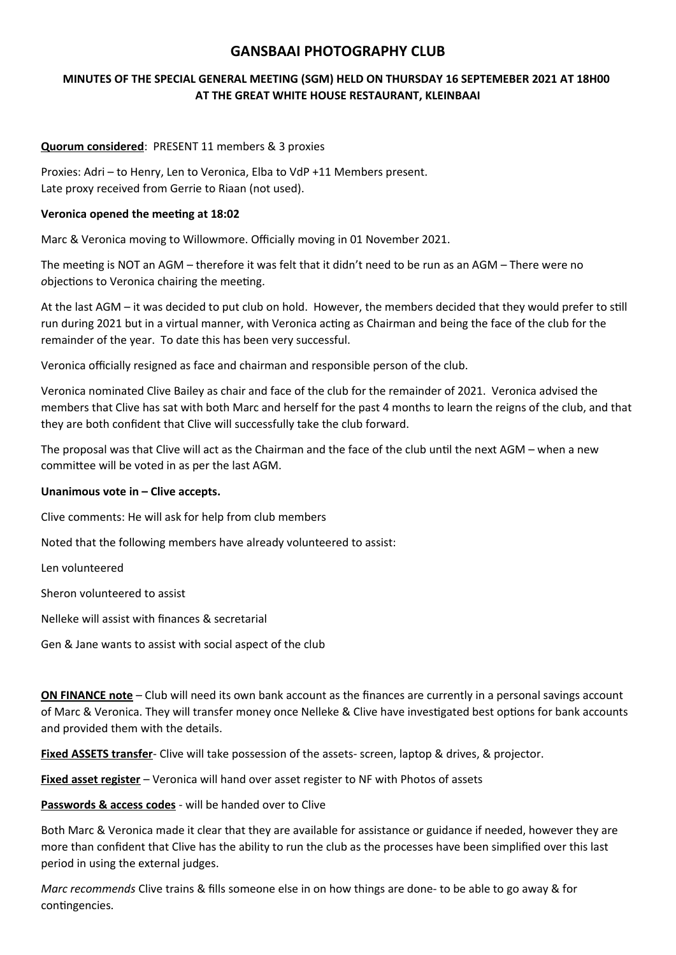# **GANSBAAI PHOTOGRAPHY CLUB**

### **MINUTES OF THE SPECIAL GENERAL MEETING (SGM) HELD ON THURSDAY 16 SEPTEMEBER 2021 AT 18H00 AT THE GREAT WHITE HOUSE RESTAURANT, KLEINBAAI**

#### **Quorum considered**: PRESENT 11 members & 3 proxies

Proxies: Adri – to Henry, Len to Veronica, Elba to VdP +11 Members present. Late proxy received from Gerrie to Riaan (not used).

#### **Veronica opened the meeting at 18:02**

Marc & Veronica moving to Willowmore. Officially moving in 01 November 2021.

The meeting is NOT an AGM – therefore it was felt that it didn't need to be run as an AGM – There were no *o*bjections to Veronica chairing the meeting*.*

At the last AGM – it was decided to put club on hold. However, the members decided that they would prefer to still run during 2021 but in a virtual manner, with Veronica acting as Chairman and being the face of the club for the remainder of the year. To date this has been very successful.

Veronica officially resigned as face and chairman and responsible person of the club.

Veronica nominated Clive Bailey as chair and face of the club for the remainder of 2021. Veronica advised the members that Clive has sat with both Marc and herself for the past 4 months to learn the reigns of the club, and that they are both confident that Clive will successfully take the club forward.

The proposal was that Clive will act as the Chairman and the face of the club until the next AGM – when a new committee will be voted in as per the last AGM.

#### **Unanimous vote in – Clive accepts.**

Clive comments: He will ask for help from club members

Noted that the following members have already volunteered to assist:

Len volunteered

Sheron volunteered to assist

Nelleke will assist with finances & secretarial

Gen & Jane wants to assist with social aspect of the club

**ON FINANCE note** – Club will need its own bank account as the finances are currently in a personal savings account of Marc & Veronica. They will transfer money once Nelleke & Clive have investigated best options for bank accounts and provided them with the details.

**Fixed ASSETS transfer**- Clive will take possession of the assets- screen, laptop & drives, & projector.

**Fixed asset register** – Veronica will hand over asset register to NF with Photos of assets

**Passwords & access codes** - will be handed over to Clive

Both Marc & Veronica made it clear that they are available for assistance or guidance if needed, however they are more than confident that Clive has the ability to run the club as the processes have been simplified over this last period in using the external judges.

*Marc recommends* Clive trains & fills someone else in on how things are done- to be able to go away & for contingencies.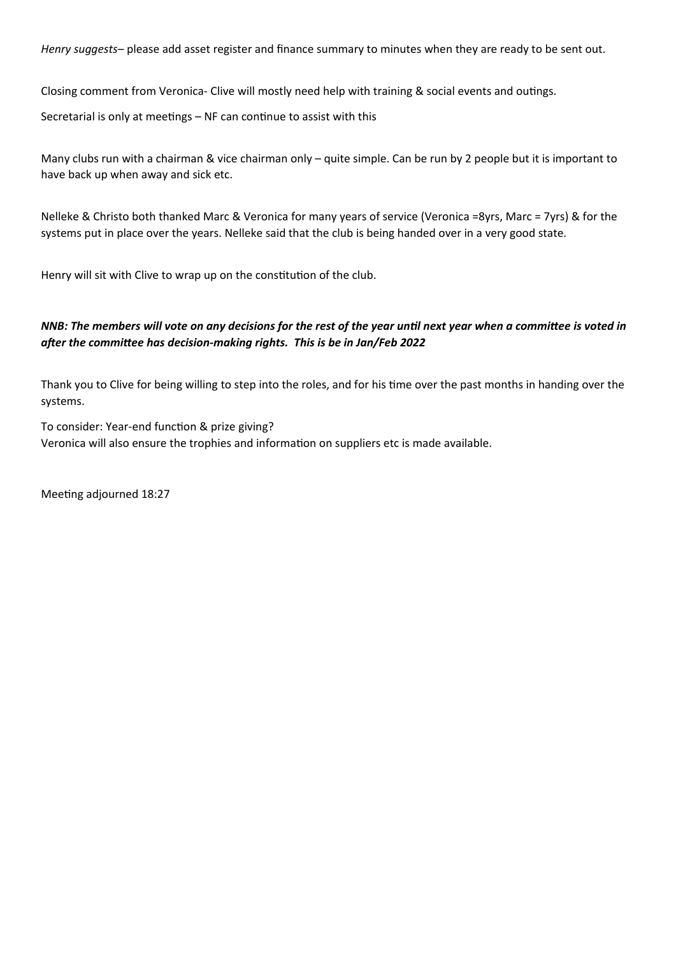*Henry suggests*– please add asset register and finance summary to minutes when they are ready to be sent out.

Closing comment from Veronica- Clive will mostly need help with training & social events and outings.

Secretarial is only at meetings – NF can continue to assist with this

Many clubs run with a chairman & vice chairman only – quite simple. Can be run by 2 people but it is important to have back up when away and sick etc.

Nelleke & Christo both thanked Marc & Veronica for many years of service (Veronica =8yrs, Marc = 7yrs) & for the systems put in place over the years. Nelleke said that the club is being handed over in a very good state.

Henry will sit with Clive to wrap up on the constitution of the club.

# *NNB: The members will vote on any decisions for the rest of the year until next year when a committee is voted in after the committee has decision-making rights. This is be in Jan/Feb 2022*

Thank you to Clive for being willing to step into the roles, and for his time over the past months in handing over the systems.

To consider: Year-end function & prize giving? Veronica will also ensure the trophies and information on suppliers etc is made available.

Meeting adjourned 18:27